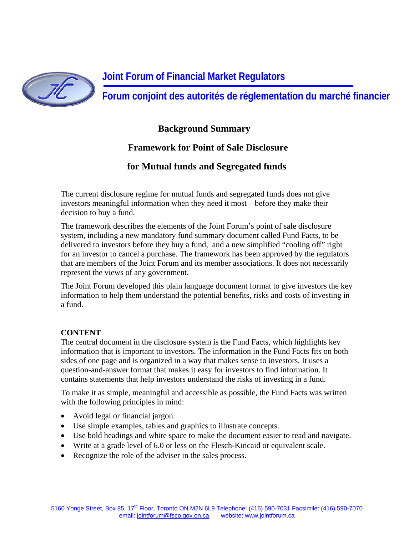

# **Joint Forum of Financial Market Regulators**

**Forum conjoint des autorités de réglementation du marché financier**

## **Background Summary**

# **Framework for Point of Sale Disclosure**

# **for Mutual funds and Segregated funds**

The current disclosure regime for mutual funds and segregated funds does not give investors meaningful information when they need it most—before they make their decision to buy a fund.

The framework describes the elements of the Joint Forum's point of sale disclosure system, including a new mandatory fund summary document called Fund Facts, to be delivered to investors before they buy a fund, and a new simplified "cooling off" right for an investor to cancel a purchase. The framework has been approved by the regulators that are members of the Joint Forum and its member associations. It does not necessarily represent the views of any government.

The Joint Forum developed this plain language document format to give investors the key information to help them understand the potential benefits, risks and costs of investing in a fund.

## **CONTENT**

The central document in the disclosure system is the Fund Facts, which highlights key information that is important to investors. The information in the Fund Facts fits on both sides of one page and is organized in a way that makes sense to investors. It uses a question-and-answer format that makes it easy for investors to find information. It contains statements that help investors understand the risks of investing in a fund.

To make it as simple, meaningful and accessible as possible, the Fund Facts was written with the following principles in mind:

- Avoid legal or financial jargon.
- Use simple examples, tables and graphics to illustrate concepts.
- Use bold headings and white space to make the document easier to read and navigate.
- Write at a grade level of 6.0 or less on the Flesch-Kincaid or equivalent scale.
- Recognize the role of the adviser in the sales process.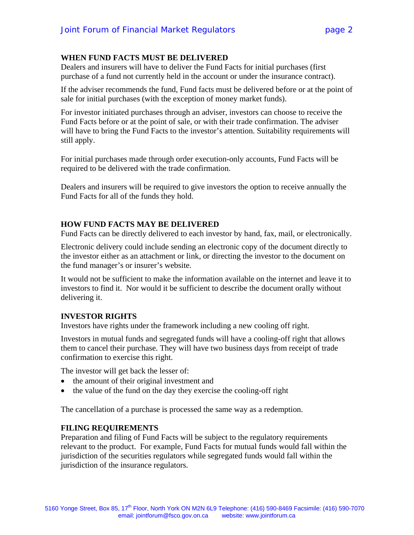## **WHEN FUND FACTS MUST BE DELIVERED**

Dealers and insurers will have to deliver the Fund Facts for initial purchases (first purchase of a fund not currently held in the account or under the insurance contract).

If the adviser recommends the fund, Fund facts must be delivered before or at the point of sale for initial purchases (with the exception of money market funds).

For investor initiated purchases through an adviser, investors can choose to receive the Fund Facts before or at the point of sale, or with their trade confirmation. The adviser will have to bring the Fund Facts to the investor's attention. Suitability requirements will still apply.

For initial purchases made through order execution-only accounts, Fund Facts will be required to be delivered with the trade confirmation.

Dealers and insurers will be required to give investors the option to receive annually the Fund Facts for all of the funds they hold.

## **HOW FUND FACTS MAY BE DELIVERED**

Fund Facts can be directly delivered to each investor by hand, fax, mail, or electronically.

Electronic delivery could include sending an electronic copy of the document directly to the investor either as an attachment or link, or directing the investor to the document on the fund manager's or insurer's website.

It would not be sufficient to make the information available on the internet and leave it to investors to find it. Nor would it be sufficient to describe the document orally without delivering it.

### **INVESTOR RIGHTS**

Investors have rights under the framework including a new cooling off right.

Investors in mutual funds and segregated funds will have a cooling-off right that allows them to cancel their purchase. They will have two business days from receipt of trade confirmation to exercise this right.

The investor will get back the lesser of:

- the amount of their original investment and
- the value of the fund on the day they exercise the cooling-off right

The cancellation of a purchase is processed the same way as a redemption.

#### **FILING REQUIREMENTS**

Preparation and filing of Fund Facts will be subject to the regulatory requirements relevant to the product. For example, Fund Facts for mutual funds would fall within the jurisdiction of the securities regulators while segregated funds would fall within the jurisdiction of the insurance regulators.